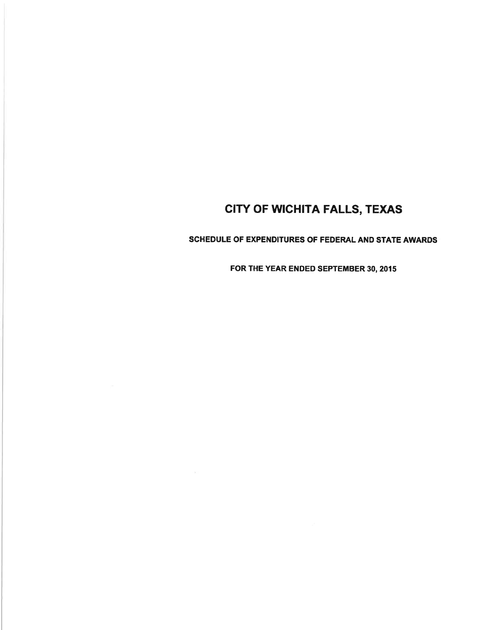SCHEDULE OF EXPENDITURES OF FEDERAL AND STATE AWARDS

FOR THE YEAR ENDED SEPTEMBER 30, 2015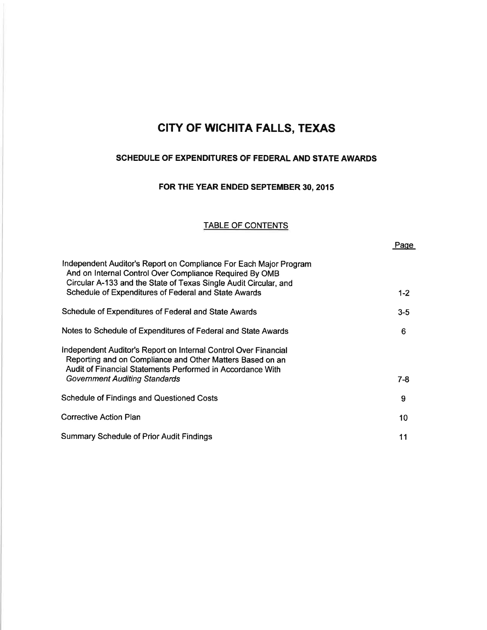### SCHEDULE OF EXPENDITURES OF FEDERAL AND STATE AWARDS

## FOR THE YEAR ENDED SEPTEMBER 30, 2015

### TABLE OF CONTENTS

Paqe

| Independent Auditor's Report on Compliance For Each Major Program<br>And on Internal Control Over Compliance Required By OMB<br>Circular A-133 and the State of Texas Single Audit Circular, and<br>Schedule of Expenditures of Federal and State Awards | $1 - 2$ |
|----------------------------------------------------------------------------------------------------------------------------------------------------------------------------------------------------------------------------------------------------------|---------|
|                                                                                                                                                                                                                                                          |         |
| Schedule of Expenditures of Federal and State Awards                                                                                                                                                                                                     | $3 - 5$ |
| Notes to Schedule of Expenditures of Federal and State Awards                                                                                                                                                                                            | 6       |
| Independent Auditor's Report on Internal Control Over Financial<br>Reporting and on Compliance and Other Matters Based on an<br>Audit of Financial Statements Performed in Accordance With                                                               |         |
| <b>Government Auditing Standards</b>                                                                                                                                                                                                                     | $7-8$   |
| <b>Schedule of Findings and Questioned Costs</b>                                                                                                                                                                                                         | 9       |
| <b>Corrective Action Plan</b>                                                                                                                                                                                                                            | 10      |
| <b>Summary Schedule of Prior Audit Findings</b>                                                                                                                                                                                                          | 11      |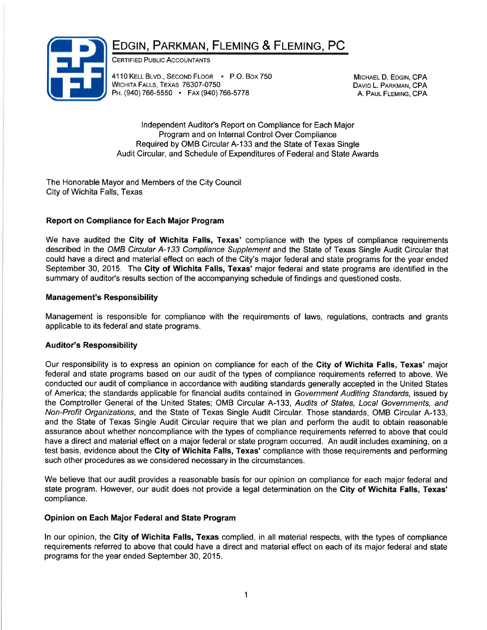# EDGIN, PARKMAN, FLEMING & FLEMING, PC



CERTIFIED PUBLIC ACCOUNTANTS

4110 KELL BLVD., SECOND FLOOR P.O. Box 750 WICHITA FALLS, TEXAS 76307-0750 PH. (940) 766-5550 · FAX (940) 766-5778

MICHAEL D. EDGIN, CPA DAVID L. PARKMAN, CPA A. PAUL FLEMING, CPA

lndependent Auditor's Report on Compliance for Each Major Program and on lnternal Control Over Compliance Required by OMB Circular A-133 and the State of Texas Single Audit Circular, and Schedule of Expenditures of Federal and State Awards

The Honorable Mayor and Members of the City Council City of Wichita Falls, Texas

### Report on Compliance for Each Major Program

We have audited the City of Wichita Falls, Texas' compliance with the types of compliance requirements described in the OMB Circular A-133 Compliance Supplement and the State of Texas Single Audit Circular that could have a direct and material effect on each of the City's major federal and state programs for the year ended September 30, 2015. The City of Wichita Falls, Texas' major federal and state programs are identified in the summary of auditor's results section of the accompanying schedule of findings and questioned costs.

### Management's Responsibility

Management is responsible for compliance with the requirements of laws, regulations, contracts and grants applicable to its federal and state programs.

### Auditor's Responsibility

Our responsibility is to express an opinion on compliance for each of the City of Wichita Falls, Texas' major federal and state programs based on our audit of the types of compliance requirements referred to above. We conducted our audit of compliance in accordance with auditing standards generally accepted in the United States of America; the standards applicable for financial audits contained in Government Auditing Sfandards, issued by the Comptroller General of the United States; OMB Circular A-133, Audits of States, Local Governments, and Non-Profit Organizations, and the State of Texas Single Audit Circular. Those standards, OMB Circular A-133, and the State of Texas Single Audit Circular require that we plan and perform the audit to obtain reasonable assurance about whether noncompliance with the types of compliance requirements referred to above that could have a direct and material effect on a major federal or state program occurred. An audit includes examining, on a test basis, evidence about the City of Wichita Falls, Texas' compliance with those requirements and performing such other procedures as we considered necessary in the circumstances.

We believe that our audit provides a reasonable basis for our opinion on compliance for each major federal and state program. However, our audit does not provide a legal determination on the City of Wichita Falls, Texas' compliance.

### Opinion on Each Major Federal and State Program

ln our opinion, the City of Wichita Falls, Texas complied, in all material respects, with the types of compliance requirements referred to above that could have a direct and material effect on each of its major federal and state programs for the year ended September 30, 2015.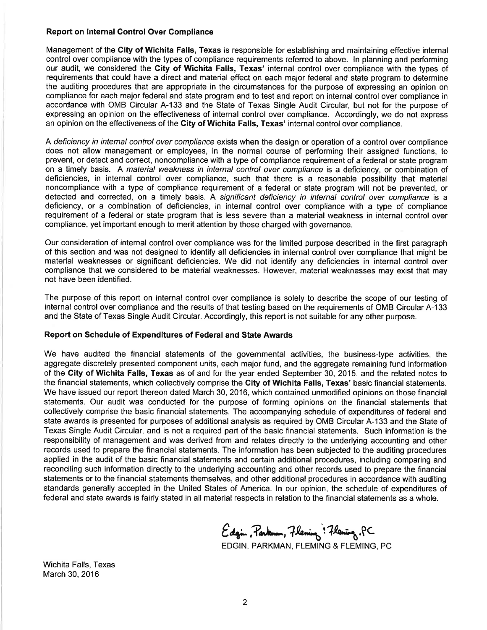#### Report on lnternal Control Over Compliance

Management of the City of Wichita Falls, Texas is responsible for establishing and maintaining effective internal control over compliance with the types of compliance requirements referred to above. ln planning and performing our audit, we considered the City of Wichita Falls, Texas' internal control over compliance with the types of requirements that could have a direct and material effect on each major federal and state program to determine the auditing procedures that are appropriate in the circumstances for the purpose of expressing an opinion on compliance for each major federal and state program and to test and report on internal control over compliance in accordance with OMB Circular A-133 and the State of Texas Single Audit Circular, but not for the purpose of expressing an opinion on the effectiveness of internal control over compliance. Accordingly, we do not express an opinion on the effectiveness of the City of Wichita Falls, Texas' internal control over compliance.

A deficiency in internal control over compliance exists when the design or operation of a control over compliance does not allow management or employees, in the normal course of performing their assigned functions, to prevent, or detect and correct, noncompliance with a type of compliance requirement of a federal or state program on a timely basis. A material weakness in internal control over compliance is a deficiency, or combination of deficiencies, in internal control over compliance, such that there is a reasonable possibility that material noncompliance with a type of compliance requirement of a federal or state program will not be prevented, or detected and corrected, on a timely basis. A significant deficiency in internal control over compliance is <sup>a</sup> deficiency, or a combination of deficiencies, in internal control over compliance with a type of compliance requirement of a federal or state program that is less severe than a material weakness in internal control over compliance, yet important enough to merit attention by those charged with governance.

Our consideration of internal control over compliance was for the limited purpose described in the first paragraph of this section and was not designed to identify all deficiencies in internal control over compliance that might be material weaknesses or significant deficiencies. We did not identify any deficiencies in internal control over compliance that we considered to be material weaknesses. However, material weaknesses may exist that may not have been identified.

The purpose of this report on internal control over compliance is solely to describe the scope of our testing of internal control over compliance and the results of that testing based on the requirements of OMB Circular A-133 and the State of Texas Single Audit Circular. Accordingly, this report is not suitable for any other purpose.

#### Report on Schedule of Expenditures of Federal and State Awards

We have audited the financial statements of the governmental activities, the business-type activities, the aggregate discretely presented component units, each major fund, and the aggregate remaining fund information of the Gity of Wichita Falls, Texas as of and for the year ended September 30, 2015, and the related notes to the financial statements, which collectively comprise the City of Wichita Falls, Texas' basic financial statements. We have issued our report thereon dated March 30, 2016, which contained unmodified opinions on those financial statements. Our audit was conducted for the purpose of forming opinions on the financial statements that collectively comprise the basic financial statements. The accompanying schedule of expenditures of federal and state awards is presented for purposes of additional analysis as required by OMB Circular A-133 and the State of Texas Single Audit Circular, and is not a required part of the basic financial statements. Such information is the responsibility of management and was derived from and relates directly to the underlying accounting and other records used to prepare the financial statements. The information has been subjected to the auditing procedures applied in the audit of the basic financial statements and certain additional procedures, including comparing and reconciling such information directly to the underlying accounting and other records used to prepare the financial statements or to the financial statements themselves, and other additional procedures in accordance with auditing standards generally accepted in the United States of America. ln our opinion, the schedule of expenditures of federal and state awards is fairly stated in all material respects in relation to the financial statements as a whole.

Edgin, Parknon, Flening : Flening, PC

EDGIN, PARKMAN, FLEMING & FLEMING, PC

Wichita Falls, Texas March 30, 2016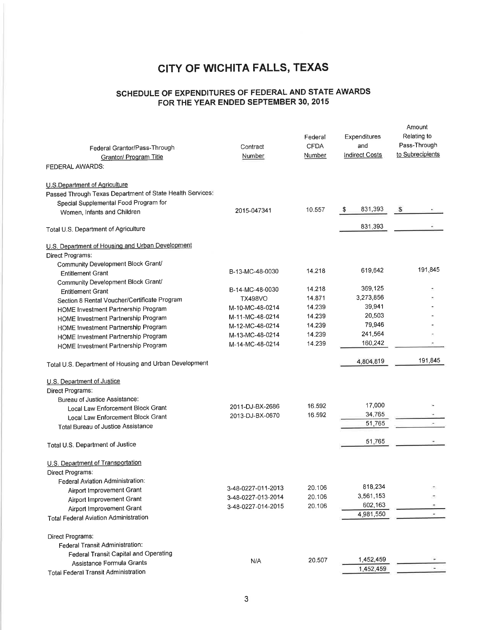## SCHEDULE OF EXPENDITURES OF FEDERAL AND STATE AWARDS FOR THE YEAR ENDED SEPTEMBER 30, 2015

| Federal Grantor/Pass-Through<br><b>Grantor/ Program Title</b>                              | Contract<br>Number | Federal<br><b>CFDA</b><br>Number | Expenditures<br>and<br><b>Indirect Costs</b> | Amount<br>Relating to<br>Pass-Through<br>to Subrecipients |
|--------------------------------------------------------------------------------------------|--------------------|----------------------------------|----------------------------------------------|-----------------------------------------------------------|
| FEDERAL AWARDS:                                                                            |                    |                                  |                                              |                                                           |
| U.S.Department of Agriculture<br>Passed Through Texas Department of State Health Services: |                    |                                  |                                              |                                                           |
| Special Supplemental Food Program for<br>Women, Infants and Children                       | 2015-047341        | 10.557                           | 831,393<br>-\$                               | s                                                         |
| Total U.S. Department of Agriculture                                                       |                    |                                  | 831,393                                      |                                                           |
| U.S. Department of Housing and Urban Development                                           |                    |                                  |                                              |                                                           |
| Direct Programs:                                                                           |                    |                                  |                                              |                                                           |
| Community Development Block Grant/                                                         |                    |                                  |                                              |                                                           |
| <b>Entitlement Grant</b>                                                                   | B-13-MC-48-0030    | 14.218                           | 619,642                                      | 191,845                                                   |
| Community Development Block Grant/                                                         |                    |                                  |                                              |                                                           |
| <b>Entitlement Grant</b>                                                                   | B-14-MC-48-0030    | 14.218                           | 369,125                                      |                                                           |
| Section 8 Rental Voucher/Certificate Program                                               | <b>TX498VO</b>     | 14.871                           | 3,273,856                                    |                                                           |
| HOME Investment Partnership Program                                                        | M-10-MC-48-0214    | 14.239                           | 39,941                                       |                                                           |
| HOME Investment Partnership Program                                                        | M-11-MC-48-0214    | 14.239                           | 20,503                                       |                                                           |
| HOME Investment Partnership Program                                                        | M-12-MC-48-0214    | 14.239                           | 79,946                                       |                                                           |
| HOME Investment Partnership Program                                                        | M-13-MC-48-0214    | 14.239                           | 241,564                                      |                                                           |
| HOME Investment Partnership Program                                                        | M-14-MC-48-0214    | 14.239                           | 160,242                                      |                                                           |
| Total U.S. Department of Housing and Urban Development                                     |                    |                                  | 4,804,819                                    | 191,845                                                   |
| U.S. Department of Justice                                                                 |                    |                                  |                                              |                                                           |
| Direct Programs:                                                                           |                    |                                  |                                              |                                                           |
| Bureau of Justice Assistance:                                                              |                    |                                  |                                              |                                                           |
| Local Law Enforcement Block Grant                                                          | 2011-DJ-BX-2686    | 16.592                           | 17,000                                       |                                                           |
| Local Law Enforcement Block Grant                                                          | 2013-DJ-BX-0670    | 16.592                           | 34,765                                       |                                                           |
| Total Bureau of Justice Assistance                                                         |                    |                                  | 51,765                                       |                                                           |
| Total U.S. Department of Justice                                                           |                    |                                  | 51,765                                       |                                                           |
| U.S. Department of Transportation                                                          |                    |                                  |                                              |                                                           |
| Direct Programs.                                                                           |                    |                                  |                                              |                                                           |
| Federal Aviation Administration:                                                           |                    |                                  |                                              |                                                           |
| Airport Improvement Grant                                                                  | 3-48-0227-011-2013 | 20.106                           | 818,234                                      |                                                           |
| Airport Improvement Grant                                                                  | 3-48-0227-013-2014 | 20.106                           | 3,561,153                                    |                                                           |
| Airport Improvement Grant                                                                  | 3-48-0227-014-2015 | 20.106                           | 602,163                                      |                                                           |
| <b>Total Federal Aviation Administration</b>                                               |                    |                                  | 4,981,550                                    |                                                           |
|                                                                                            |                    |                                  |                                              |                                                           |
| Direct Programs:                                                                           |                    |                                  |                                              |                                                           |
| Federal Transit Administration:<br>Federal Transit Capital and Operating                   |                    |                                  |                                              |                                                           |
| Assistance Formula Grants                                                                  | N/A                | 20.507                           | 1,452,459                                    |                                                           |
| <b>Total Federal Transit Administration</b>                                                |                    |                                  | 1,452,459                                    |                                                           |
|                                                                                            |                    |                                  |                                              |                                                           |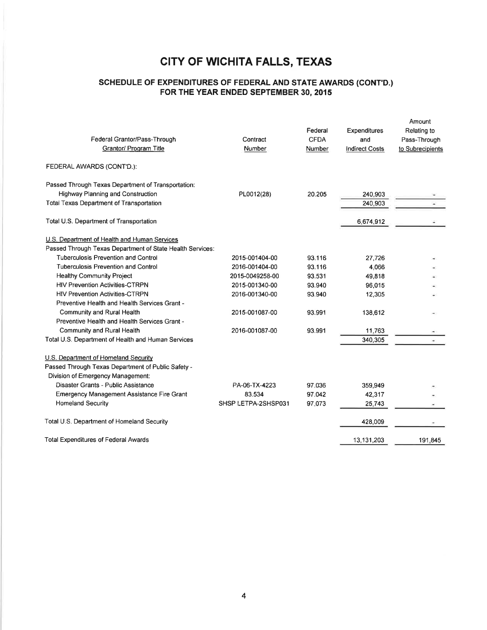## SCHEDULE OF EXPENDTTURES OF FEDERAL AND STATE AWARDS (CONT'D.) FOR THE YEAR ENDED SEPTEMBER 30, 2015

| Federal Grantor/Pass-Through<br>Grantor/ Program Title                                     | Contract<br>Number. | Federal<br><b>CFDA</b><br>Number | Expenditures<br>and<br><b>Indirect Costs</b> | Amount<br>Relating to<br>Pass-Through<br>to Subrecipients |
|--------------------------------------------------------------------------------------------|---------------------|----------------------------------|----------------------------------------------|-----------------------------------------------------------|
| FEDERAL AWARDS (CONT'D.):                                                                  |                     |                                  |                                              |                                                           |
| Passed Through Texas Department of Transportation:                                         |                     |                                  |                                              |                                                           |
| <b>Highway Planning and Construction</b>                                                   | PL0012(28)          | 20.205                           | 240,903                                      |                                                           |
| <b>Total Texas Department of Transportation</b>                                            |                     |                                  | 240,903                                      |                                                           |
| Total U.S. Department of Transportation                                                    |                     |                                  | 6,674,912                                    |                                                           |
| U.S. Department of Health and Human Services                                               |                     |                                  |                                              |                                                           |
| Passed Through Texas Department of State Health Services:                                  |                     |                                  |                                              |                                                           |
| <b>Tuberculosis Prevention and Control</b>                                                 | 2015-001404-00      | 93.116                           | 27,726                                       |                                                           |
| <b>Tuberculosis Prevention and Control</b>                                                 | 2016-001404-00      | 93.116                           | 4,066                                        |                                                           |
| <b>Healthy Community Project</b>                                                           | 2015-0049258-00     | 93.531                           | 49,818                                       |                                                           |
| <b>HIV Prevention Activities-CTRPN</b>                                                     | 2015-001340-00      | 93.940                           | 96,015                                       |                                                           |
| <b>HIV Prevention Activities-CTRPN</b>                                                     | 2016-001340-00      | 93.940                           | 12,305                                       |                                                           |
| Preventive Health and Health Services Grant -                                              |                     |                                  |                                              |                                                           |
| Community and Rural Health                                                                 | 2015-001087-00      | 93.991                           | 138,612                                      |                                                           |
| Preventive Health and Health Services Grant -                                              |                     |                                  |                                              |                                                           |
| Community and Rural Health                                                                 | 2016-001087-00      | 93.991                           | 11,763                                       |                                                           |
| Total U.S. Department of Health and Human Services                                         |                     |                                  | 340,305                                      |                                                           |
| U.S. Department of Homeland Security<br>Passed Through Texas Department of Public Safety - |                     |                                  |                                              |                                                           |
| Division of Emergency Management:                                                          |                     |                                  |                                              |                                                           |
| Disaster Grants - Public Assistance                                                        | PA-06-TX-4223       | 97.036                           | 359,949                                      |                                                           |
| Emergency Management Assistance Fire Grant                                                 | 83.534              | 97.042                           | 42,317                                       |                                                           |
| <b>Homeland Security</b>                                                                   | SHSP LETPA-2SHSP031 | 97.073                           | 25,743                                       |                                                           |
| Total U.S. Department of Homeland Security                                                 |                     |                                  | 428,009                                      |                                                           |
| <b>Total Expenditures of Federal Awards</b>                                                |                     |                                  | 13,131,203                                   | 191.845                                                   |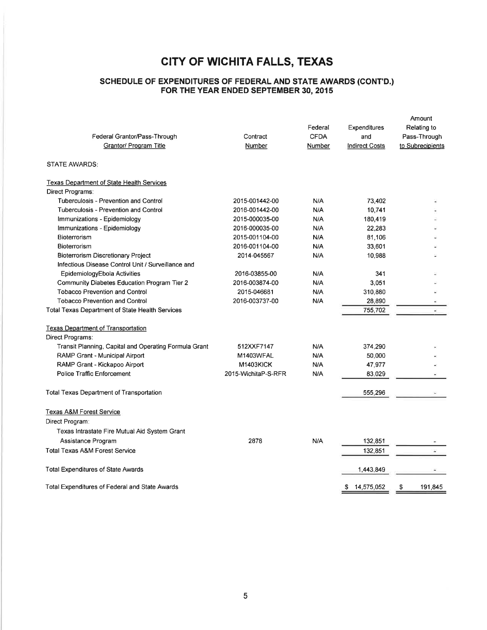#### SGHEDULE OF EXPENDTTURES OF FEDERAL AND STATE AWARDS (CONT'D.) FOR THE YEAR ENDED SEPTEMBER 30, 2015

| Federal Grantor/Pass-Through<br>Grantor/ Program Title | Contract<br>Number  | Federal<br><b>CFDA</b><br>Number | Expenditures<br>and<br><b>Indirect Costs</b> | Amount<br>Relating to<br>Pass-Through<br>to Subrecipients |
|--------------------------------------------------------|---------------------|----------------------------------|----------------------------------------------|-----------------------------------------------------------|
| <b>STATE AWARDS:</b>                                   |                     |                                  |                                              |                                                           |
| <b>Texas Department of State Health Services</b>       |                     |                                  |                                              |                                                           |
| Direct Programs:                                       |                     |                                  |                                              |                                                           |
| Tuberculosis - Prevention and Control                  | 2015-001442-00      | N/A                              | 73,402                                       |                                                           |
| Tuberculosis - Prevention and Control                  | 2016-001442-00      | N/A                              | 10.741                                       |                                                           |
| Immunizations - Epidemiology                           | 2015-000035-00      | N/A                              | 180,419                                      |                                                           |
| Immunizations - Epidemiology                           | 2016-000035-00      | N/A                              | 22,283                                       |                                                           |
| Bioterrorism                                           | 2015-001104-00      | N/A                              | 81,106                                       |                                                           |
| Bioterrorism                                           | 2016-001104-00      | N/A                              | 33,601                                       |                                                           |
| <b>Bioterrorism Discretionary Project</b>              | 2014-045567         | N/A                              | 10,988                                       |                                                           |
| Infectious Disease Control Unit / Surveillance and     |                     |                                  |                                              |                                                           |
| EpidemiologyEbola Activities                           | 2016-03855-00       | N/A                              | 341                                          |                                                           |
| Community Diabetes Education Program Tier 2            | 2016-003874-00      | N/A                              | 3,051                                        |                                                           |
| <b>Tobacco Prevention and Control</b>                  | 2015-046681         | N/A                              | 310,880                                      |                                                           |
| <b>Tobacco Prevention and Control</b>                  | 2016-003737-00      | N/A                              | 28,890                                       |                                                           |
| Total Texas Department of State Health Services        |                     |                                  | 755,702                                      |                                                           |
| <b>Texas Department of Transportation</b>              |                     |                                  |                                              |                                                           |
| Direct Programs:                                       |                     |                                  |                                              |                                                           |
| Transit Planning, Capital and Operating Formula Grant  | 512XXF7147          | N/A                              | 374,290                                      |                                                           |
| RAMP Grant - Municipal Airport                         | M1403WFAL           | N/A                              | 50,000                                       |                                                           |
| RAMP Grant - Kickapoo Airport                          | <b>M1403KICK</b>    | N/A                              | 47,977                                       |                                                           |
| Police Traffic Enforcement                             | 2015-WichitaP-S-RFR | N/A                              | 83,029                                       |                                                           |
| <b>Total Texas Department of Transportation</b>        |                     |                                  | 555,296                                      |                                                           |
| <b>Texas A&amp;M Forest Service</b>                    |                     |                                  |                                              |                                                           |
| Direct Program:                                        |                     |                                  |                                              |                                                           |
| Texas Intrastate Fire Mutual Aid System Grant          |                     |                                  |                                              |                                                           |
| Assistance Program                                     | 2878                | N/A                              | 132,851                                      |                                                           |
| <b>Total Texas A&amp;M Forest Service</b>              |                     |                                  | 132,851                                      | z                                                         |
| <b>Total Expenditures of State Awards</b>              |                     |                                  | 1,443,849                                    |                                                           |
| Total Expenditures of Federal and State Awards         |                     |                                  | 14,575,052<br>\$                             | 191,845<br>\$                                             |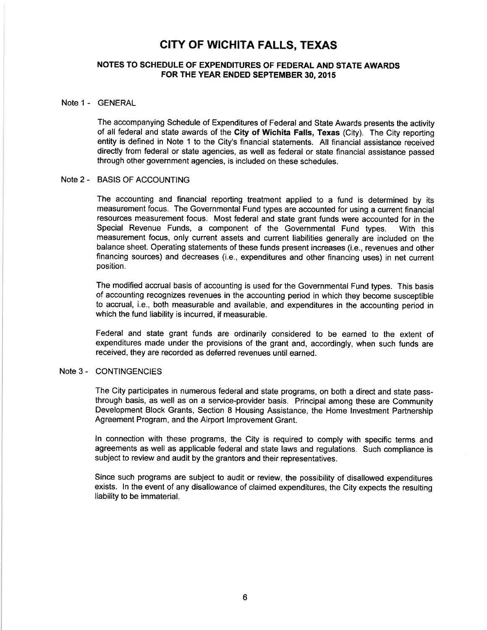### NOTES TO SCHEDULE OF EXPENDITURES OF FEDERAL AND STATE AWARDS FOR THE YEAR ENDED SEPTEMBER 30,2015

#### Note 1 - GENERAL

The accompanying Schedule of Expenditures of Federal and State Awards presents the activity of all federal and state awards of the Gity of Wichita Falls, Texas (City). The City reporting entity is defined in Note 1 to the City's financial statements. All financial assistance received directly from federal or state agencies, as well as federal or state financial assistance passed through other government agencies, is included on these schedules.

#### Note 2 - BASIS OF ACCOUNTING

The accounting and financial reporting treatment applied to a fund is determined by its measurement focus. The Governmental Fund types are accounted for using a current financial resources measurement focus. Most federal and state grant funds were accounted for in the Special Revenue Funds, a component of the Governmental Fund types. With this measurement focus, only current assets and current liabilities generally are included on the balance sheet. Operating statements of these funds present increases (i.e., revenues and other financing sources) and decreases (i.e., expenditures and other financing uses) in net current position.

The modified accrual basis of accounting is used for the Governmental Fund types. This basis of accounting recognizes revenues in the accounting period in which they become susceptible to accrual, i.e., both measurable and available, and expenditures in the accounting period in which the fund liability is incurred, if measurable.

Federal and state grant funds are ordinarily considered to be earned to the extent of expenditures made under the provisions of the grant and, accordingly, when such funds are received, they are recorded as deferred revenues until earned.

#### Note 3 - CONTINGENCIES

The City participates in numerous federal and state programs, on both a direct and state passthrough basis, as well as on a service-provider basis. Principal among these are Community Development Block Grants, Section 8 Housing Assistance, the Home lnvestment Partnership Agreement Program, and the Airport lmprovement Grant.

ln connection with these programs, the City is required to comply with specific terms and agreements as well as applicable federal and state laws and regulations. Such compliance is subject to review and audit by the grantors and their representatives.

Since such programs are subject to audit or review, the possibility of disallowed expenditures exists. ln the event of any disallowance of claimed expenditures, the City expects the resulting liability to be immaterial.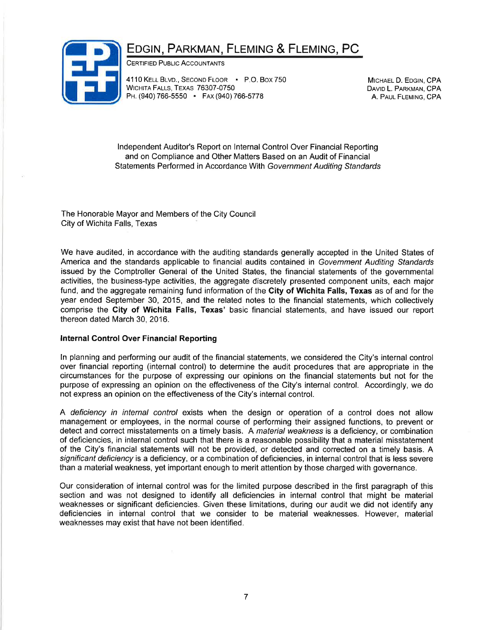## EDGIN, PARKMAN, FLEMING & FLEMING, PC



CERTIFIED PUBLIC ACCOUNTANTS

4110 KELL BLVD., SECOND FLOOR - P.O. Box 750 WICHITA FALLS, TEXAS 76307-0750 PH. (940) 766-5550 · FAX (940) 766-5778

MICHAEL D. EDGIN, CPA DAVID L. PARKMAN, CPA A. PAUL FLEMING, CPA

lndependent Auditor's Report on lnternal Control Over Financial Reporting and on Compliance and Other Matters Based on an Audit of Financial Statements Performed in Accordance With Government Auditing Standards

The Honorable Mayor and Members of the City Council City of Wichita Falls, Texas

We have audited, in accordance with the auditing standards generally accepted in the United States of America and the standards applicable to financial audits contained in Government Auditing Standards issued by the Comptroller General of the United States, the financial statements of the governmental activities, the business-type activities, the aggregate discretely presented component units, each major fund, and the aggregate remaining fund information of the City of Wichita Falls. Texas as of and for the year ended September 30,2015, and the related notes to the financial statements, which collectively comprise the Gity of Wichita Falls, Texas' basic financial statements, and have issued our report thereon dated March 30, 2016.

#### lnternal Control Over Financial Reporting

ln planning and performing our audit of the financial statements, we considered the City's internal control over financial reporting (internal control) to determine the audit procedures that are appropriate in the circumstances for the purpose of expressing our opinions on the financial statements but not for the purpose of expressing an opinion on the effectiveness of the City's internal control. Accordingly, we do not express an opinion on the effectiveness of the City's internal control.

A deficiency in internal control exists when the design or operation of a control does not allow management or employees, in the normal course of performing their assigned functions, to prevent or detect and correct misstatements on a timely basis. A material weakness is a deficiency, or combination of deficiencies, in internal control such that there is a reasonable possibility that a material misstatement of the City's financial statements will not be provided, or detected and corrected on a timely basis. A significant deficiency is a deficiency, or a combination of deficiencies, in internal control that is less severe than a material weakness, yet important enough to merit attention by those charged with governance.

Our consideration of internal control was for the limited purpose described in the first paragraph of this section and was not designed to identify all deficiencies in internal control that might be material weaknesses or significant deficiencies. Given these limitations, during our audit we did not identify any deficiencies in internal control that we consider to be material weaknesses. However, material weaknesses may exist that have not been identified.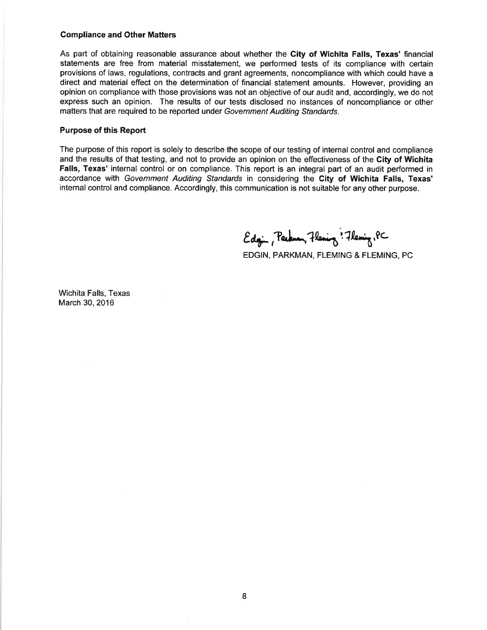#### Compliance and Other Matters

As part of obtaining reasonable assurance about whether the City of Wichita Falls, Texas' financial statements are free from material misstatement, we performed tests of its compliance with certain provisions of laws, regulations, contracts and grant agreements, noncompliance with which could have a direct and material effect on the determination of financial statement amounts. However, providing an opinion on compliance with those provisions was not an objective of our audit and, accordingly, we do not express such an opinion. The results of our tests disclosed no instances of noncompliance or other matters that are required to be reported under Government Auditing Standards.

#### Purpose of this Report

The purpose of this report is solely to describe the scope of our testing of internal control and compliance and the results of that testing, and not to provide an opinion on the effectiveness of the City of Wichita Falls, Texas' internal control or on compliance. This report is an integral part of an audit performed in accordance with Government Auditing Standards in considering the City of Wichita Falls, Texas' internal control and compliance. Accordingly, this communication is not suitable for any other purpose.

Edgin, Parknen, Flening: Flening, PC

EDGIN, PARKMAN, FLEMING & FLEMING, PC

Wichita Falls, Texas March 30,2016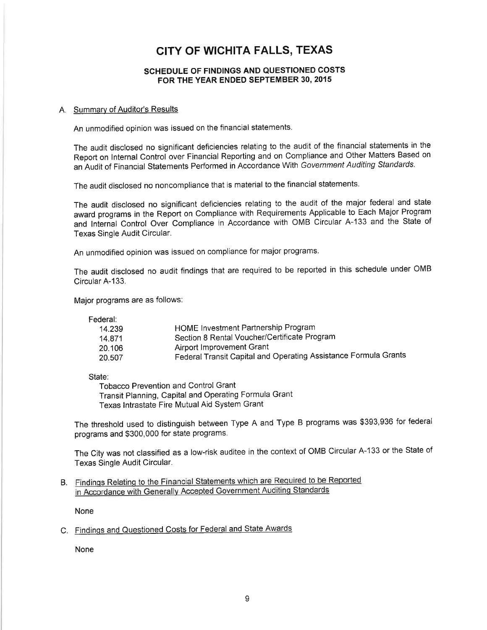### SGHEDULE OF FINDINGS AND QUESTIONED COSTS FOR THE YEAR ENDED SEPTEMBER 30, 2015

#### A. Summary of Auditor's Results

An unmodified opinion was issued on the financial statements.

The audit disclosed no significant deficiencies relating to the audit of the financial statements in the Report on Internal Control over Financial Reporting and on Compliance and Other Matters Based on an Audit of Financial Statements Performed in Accordance With Government Auditing Standards.

The audit disclosed no noncompliance that is material to the financial statements.

The audit disclosed no significant deficiencies relating to the audit of the major federal and state award programs in the Report on Compliance with Requirements Applicable to Each Major Program and Internal Control Over Compliance in Accordance with OMB Circular A-133 and the State of Texas Single Audit Circular.

An unmodified opinion was issued on compliance for major programs.

The audit disclosed no audit findings that are required to be reported in this schedule under OMB Circular A-133.

Major programs are as follows:

Federal:

| 14.239  | HOME Investment Partnership Program                             |
|---------|-----------------------------------------------------------------|
| 14.871  | Section 8 Rental Voucher/Certificate Program                    |
| 20.106. | Airport Improvement Grant                                       |
| 20.507  | Federal Transit Capital and Operating Assistance Formula Grants |

State:

Tobacco Prevention and Control Grant Transit Planning, Capital and Operating Formula Grant Texas Intrastate Fire Mutual Aid System Grant

The threshold used to distinguish between Type A and Type B programs was \$393,936 for federal programs and \$300,000 for state programs.

The City was not classified as a low-risk auditee in the context of OMB Circular A-133 or the State of Texas Single Audit Circular.

B. Findings Relating to the Financial Statements which are Required to be Reported in Accordance with Generally Accepted Government Auditing Standards

None

C. Findings and Questioned Costs for Federal and State Awards

None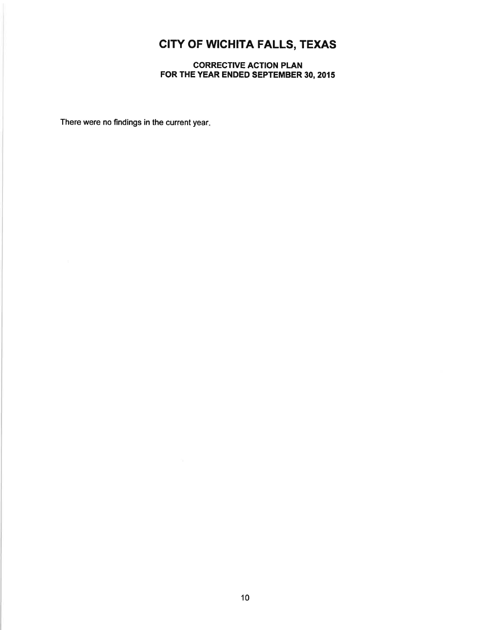CORRECTIVE ACTION PLAN FOR THE YEAR ENDED SEPTEMBER 30,2015

There were no findings in the current year.